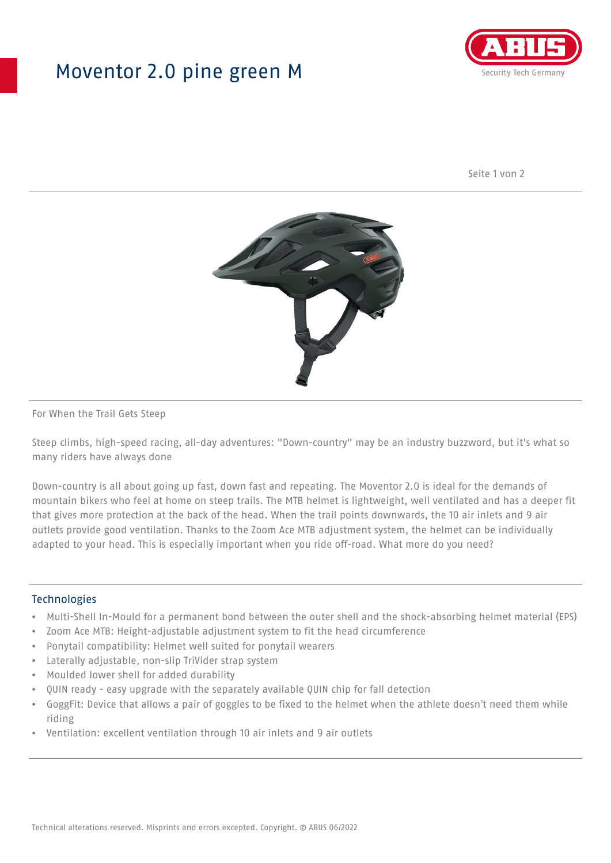## Moventor 2.0 pine green M



Seite 1 von 2



#### For When the Trail Gets Steep

Steep climbs, high-speed racing, all-day adventures: "Down-country" may be an industry buzzword, but it's what so many riders have always done

Down-country is all about going up fast, down fast and repeating. The Moventor 2.0 is ideal for the demands of mountain bikers who feel at home on steep trails. The MTB helmet is lightweight, well ventilated and has a deeper fit that gives more protection at the back of the head. When the trail points downwards, the 10 air inlets and 9 air outlets provide good ventilation. Thanks to the Zoom Ace MTB adjustment system, the helmet can be individually adapted to your head. This is especially important when you ride off-road. What more do you need?

#### **Technologies**

- Multi-Shell In-Mould for a permanent bond between the outer shell and the shock-absorbing helmet material (EPS)
- Zoom Ace MTB: Height-adjustable adjustment system to fit the head circumference
- Ponytail compatibility: Helmet well suited for ponytail wearers
- Laterally adjustable, non-slip TriVider strap system
- Moulded lower shell for added durability
- QUIN ready easy upgrade with the separately available QUIN chip for fall detection
- GoggFit: Device that allows a pair of goggles to be fixed to the helmet when the athlete doesn't need them while riding
- Ventilation: excellent ventilation through 10 air inlets and 9 air outlets